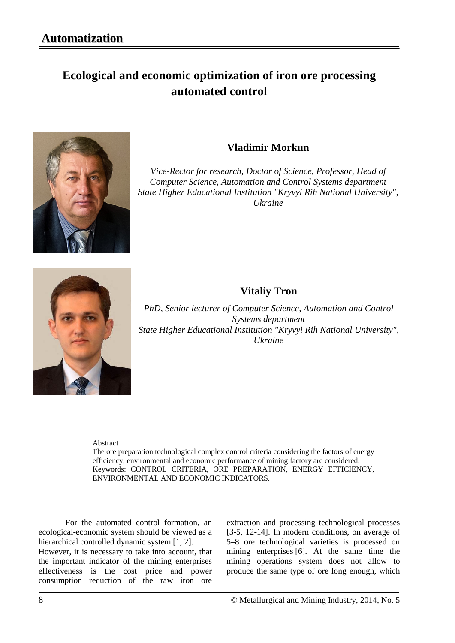## **Ecological and economic optimization of iron ore processing automated control**



## **Vladimir Morkun**

*Vice-Rector for research, Doctor of Science, Professor, Head of Computer Science, Automation and Control Systems department State Higher Educational Institution "Kryvyi Rih National University", Ukraine*



## **Vitaliy Tron**

*PhD, Senior lecturer of Computer Science, Automation and Control Systems department State Higher Educational Institution "Kryvyi Rih National University", Ukraine*

Abstract

The ore preparation technological complex control criteria considering the factors of energy efficiency, environmental and economic performance of mining factory are considered. Keywords: CONTROL CRITERIA, ORE PREPARATION, ENERGY EFFICIENCY, ENVIRONMENTAL AND ECONOMIC INDICATORS.

For the automated control formation, an ecological-economic system should be viewed as a hierarchical controlled dynamic system [1, 2].

However, it is necessary to take into account, that the important indicator of the mining enterprises effectiveness is the cost price and power consumption reduction of the raw iron ore extraction and processing technological processes [3-5, 12-14]. In modern conditions, on average of 5–8 ore technological varieties is processed on mining enterprises [6]. At the same time the mining operations system does not allow to produce the same type of ore long enough, which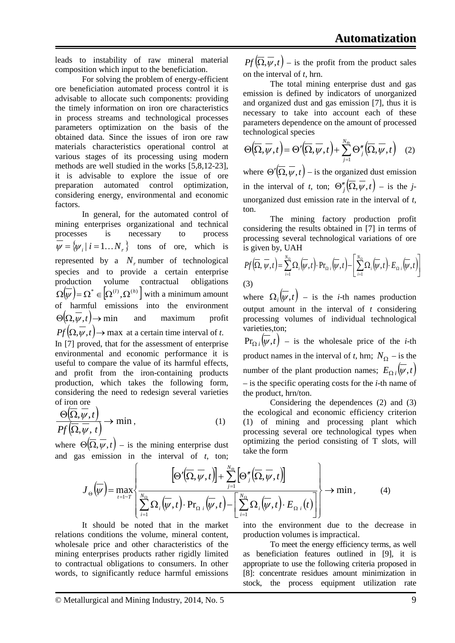leads to instability of raw mineral material composition which input to the beneficiation.

For solving the problem of energy-efficient ore beneficiation automated process control it is advisable to allocate such components: providing the timely information on iron ore characteristics in process streams and technological processes parameters optimization on the basis of the obtained data. Since the issues of iron ore raw materials characteristics operational control at various stages of its processing using modern methods are well studied in the works [5,8,12-23], it is advisable to explore the issue of ore preparation automated control optimization, considering energy, environmental and economic factors.

In general, for the automated control of mining enterprises organizational and technical processes is necessary to process  $\overline{\psi} = {\psi_i | i = 1...N_r}$  tons of ore, which is represented by a  $N_r$  number of technological species and to provide a certain enterprise production volume contractual obligations  $\Omega(\overline{\psi}) = \Omega^* \in [\Omega^{(l)}, \Omega^{(h)}]$  with a minimum amount of harmful emissions into the environment  $\Theta(\Omega, \overline{\psi}, t) \to \text{min}$  and maximum profit  $Pf(\Omega, \overline{\psi}, t) \rightarrow \text{max}$  at a certain time interval of *t*. In [7] proved, that for the assessment of enterprise environmental and economic performance it is useful to compare the value of its harmful effects, and profit from the iron-containing products production, which takes the following form, considering the need to redesign several varieties of iron ore

$$
\frac{\Theta(\overline{\Omega}, \overline{\psi}, t)}{Pf(\overline{\Omega}, \overline{\psi}, t)} \to \min, \tag{1}
$$

where  $\Theta(\Omega, \psi, t)$  – is the mining enterprise dust and gas emission in the interval of *t*, ton;

 $Pf(\overline{\Omega}, \overline{\psi}, t)$  – is the profit from the product sales on the interval of *t*, hrn.

The total mining enterprise dust and gas emission is defined by indicators of unorganized and organized dust and gas emission [7], thus it is necessary to take into account each of these parameters dependence on the amount of processed technological species

$$
\Theta(\overline{\Omega}, \overline{\psi}, t) = \Theta'(\overline{\Omega}, \overline{\psi}, t) + \sum_{j=1}^{N_{\Theta}} \Theta''_j(\overline{\Omega}, \overline{\psi}, t) \quad (2)
$$

where  $\Theta'(\overline{\Omega}, \overline{\psi}, t)$  – is the organized dust emission in the interval of *t*, ton;  $\Theta''_i(\overline{\Omega}, \overline{\psi}, t)$  – is the *j*unorganized dust emission rate in the interval of *t*, ton.

The mining factory production profit considering the results obtained in [7] in terms of processing several technological variations of ore is given by, UAH

$$
Pf\left(\overline{\Omega}, \overline{\psi}, t\right) = \sum_{i=1}^{N_{\Omega}} \Omega_i \left(\overline{\psi}, t\right) \cdot \Pr_{\Omega_i} \left(\overline{\psi}, t\right) - \left[\sum_{i=1}^{N_{\Omega}} \Omega_i \left(\overline{\psi}, t\right) \cdot E_{\Omega_i} \left(\overline{\psi}, t\right)\right]
$$
\n(3)

where  $\Omega_i(\psi, t)$  – is the *i*-th names production output amount in the interval of *t* considering processing volumes of individual technological varieties,ton;

 $\Pr_{\Omega_i}(\overline{\psi}, t)$  – is the wholesale price of the *i*-th product names in the interval of *t*, hrn;  $N_{\Omega}$  – is the number of the plant production names;  $E_{\Omega i}(\overline{\psi}, t)$ – is the specific operating costs for the *i*-th name of the product, hrn/ton.

Considering the dependences (2) and (3) the ecological and economic efficiency criterion (1) of mining and processing plant which processing several ore technological types when optimizing the period consisting of T slots, will take the form

$$
J_{\Theta}(\overline{\psi}) = \max_{t=1-T} \left\{ \frac{\left[\Theta'(\overline{\Omega}, \overline{\psi}, t)\right] + \sum_{j=1}^{N_{\Theta}} \left[\Theta''_{j}(\overline{\Omega}, \overline{\psi}, t)\right]}{\sum_{i=1}^{N_{\Omega}} \Omega_{i}(\overline{\psi}, t) \cdot \Pr_{\Omega_{i}}(\overline{\psi}, t) - \left[\sum_{i=1}^{N_{\Omega}} \Omega_{i}(\overline{\psi}, t) \cdot E_{\Omega_{i}}(t)\right]} \right\} \rightarrow \min, \tag{4}
$$

It should be noted that in the market relations conditions the volume, mineral content, wholesale price and other characteristics of the mining enterprises products rather rigidly limited to contractual obligations to consumers. In other words, to significantly reduce harmful emissions

into the environment due to the decrease in production volumes is impractical.

To meet the energy efficiency terms, as well as beneficiation features outlined in [9], it is appropriate to use the following criteria proposed in [8]: concentrate residues amount minimization in stock, the process equipment utilization rate

© Metallurgical and Mining Industry, 2014, No. 5 9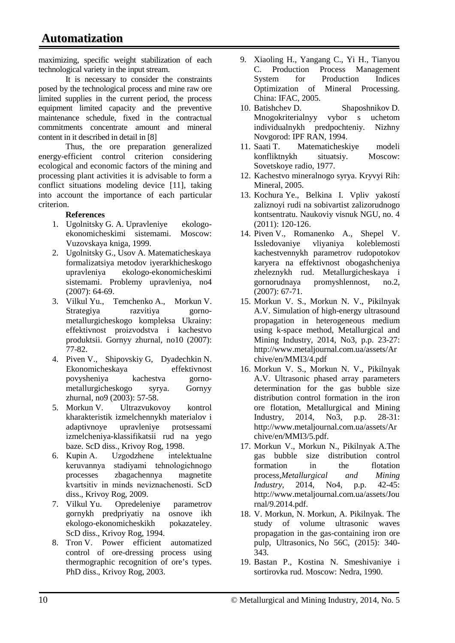maximizing, specific weight stabilization of each technological variety in the input stream.

It is necessary to consider the constraints posed by the technological process and mine raw ore limited supplies in the current period, the process equipment limited capacity and the preventive maintenance schedule, fixed in the contractual commitments concentrate amount and mineral content in it described in detail in [8]

Thus, the ore preparation generalized energy-efficient control criterion considering ecological and economic factors of the mining and processing plant activities it is advisable to form a conflict situations modeling device [11], taking into account the importance of each particular criterion.

## **References**

- 1. Ugolnitsky G. A. Upravleniye ekologoekonomicheskimi sistemami. Moscow: Vuzovskaya kniga, 1999.
- 2. Ugolnitsky G., Usov A. Matematicheskaya formalizatsiya metodov iyerarkhicheskogo upravleniya ekologo-ekonomicheskimi sistemami. Problemy upravleniya, no4 (2007): 64-69.
- 3. Vilkul Yu., Temchenko A., Morkun V. Strategiya razvitiya gornometallurgicheskogo kompleksa Ukrainy: effektivnost proizvodstva i kachestvo produktsii. Gornyy zhurnal, no10 (2007): 77-82.
- 4. Piven V., Shipovskiy G, Dyadechkin N. Ekonomicheskaya effektivnost povysheniya kachestva gornometallurgicheskogo syrya. Gornyy zhurnal, no9 (2003): 57-58.
- 5. Morkun V. Ultrazvukovoy kontrol kharakteristik izmelchennykh materialov i adaptivnoye upravleniye protsessami izmelcheniya-klassifikatsii rud na yego baze. ScD diss., Krivoy Rog, 1998.
- 6. Kupіn A. Uzgodzhene іntelektualne keruvannya stadіyami tehnologіchnogo processes zbagachennya magnetite kvartsitіv in minds neviznachenostі. ScD diss., Krivoy Rog, 2009.
- 7. Vilkul Yu. Opredeleniye parametrov gornykh predpriyatiy na osnove ikh ekologo-ekonomicheskikh pokazateley. ScD diss., Krivoy Rog, 1994.
- 8. Tron V. Power efficient automatized control of ore-dressing process using thermographic recognition of ore's types. PhD diss., Krivoy Rog, 2003.
- 9. Xiaoling H., Yangang C., Yi H., Tianyou C. Production Process Management System for Production Indices Optimization of Mineral Processing. China: IFAC, 2005.
- 10. Batishchev D. Shaposhnikov D. Mnogokriterialnyy vybor s uchetom individualnykh predpochteniy. Nizhny Novgorod: IPF RAN, 1994.
- 11. Saati T. Matematicheskiye modeli konfliktnykh situatsiy. Moscow: Sovetskoye radio, 1977.
- 12. Kachestvo mineralnogo syrya. Kryvyi Rih: Mineral, 2005.
- 13. Kochura Ye., Belkina I. Vpliv yakostí zaliznoyi rudi na sobivartist zalizorudnogo kontsentratu. Naukoviy visnuk NGU, no. 4 (2011): 120-126.
- 14. Piven V., Romanenko A., Shepel V. Issledovaniye vliyaniya koleblemosti kachestvennykh parametrov rudopotokov karyera na effektivnost obogashcheniya zheleznykh rud. Metallurgicheskaya i gornorudnaya promyshlennost, no.2, (2007): 67-71.
- 15. Morkun V. S., Morkun N. V., Pikilnyak A.V. Simulation of high-energy ultrasound propagation in heterogeneous medium using k-space method, Metallurgical and Mining Industry, 2014, No3, p.p. 23-27: [http://www.metaljournal.com.ua/assets/Ar](http://www.metaljournal.com.ua/assets/Archive/en/MMI3/4.pdf) [chive/en/MMI3/4.pdf](http://www.metaljournal.com.ua/assets/Archive/en/MMI3/4.pdf)
- 16. Morkun V. S., Morkun N. V., Pikilnyak A.V. Ultrasonic phased array parameters determination for the gas bubble size distribution control formation in the iron ore flotation, Metallurgical and Mining Industry, 2014, No3, p.p. 28-31: [http://www.metaljournal.com.ua/assets/Ar](http://www.metaljournal.com.ua/assets/Archive/en/MMI3/5.pdf) [chive/en/MMI3/5.pdf.](http://www.metaljournal.com.ua/assets/Archive/en/MMI3/5.pdf)
- 17. Morkun V., Morkun N., Pikilnyak A.The gas bubble size distribution control formation in the flotation process*,Metallurgical and Mining Industry*, 2014, No4, p.p. 42-45: [http://www.metaljournal.com.ua/assets/Jou](http://www.metaljournal.com.ua/assets/Journal/9.2014.pdf) [rnal/9.2014.pdf.](http://www.metaljournal.com.ua/assets/Journal/9.2014.pdf)
- 18. V. Morkun, N. Morkun, A. Pikilnyak. The study of volume ultrasonic waves propagation in the gas-containing iron ore pulp, Ultrasonics, No 56C, (2015): 340- 343.
- 19. Bastan P., Kostina N. Smeshivaniye i sortirovka rud. Мoscow: Nedra, 1990.